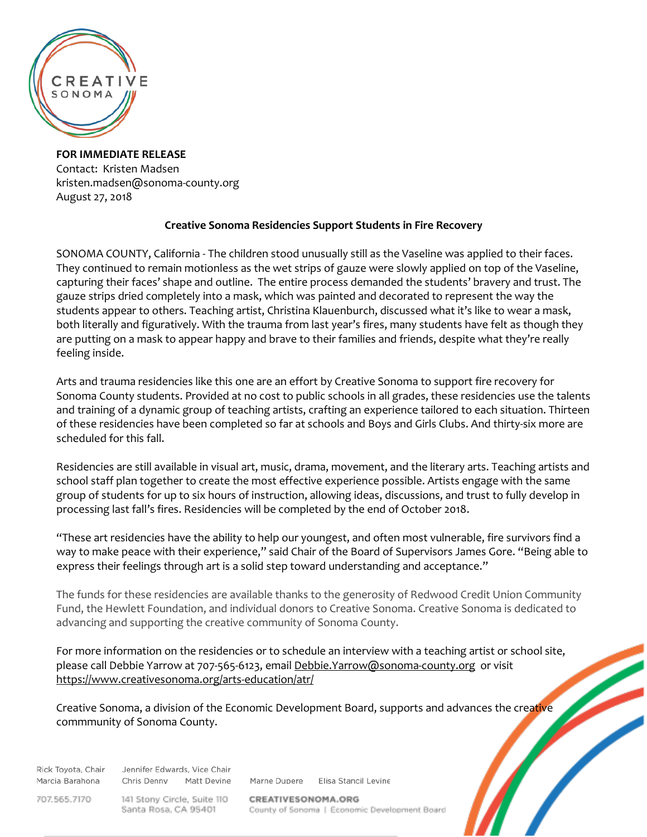

**FOR IMMEDIATE RELEASE** Contact: Kristen Madsen kristen.madsen@sonoma-county.org August 27, 2018

## **Creative Sonoma Residencies Support Students in Fire Recovery**

SONOMA COUNTY, California - The children stood unusually still as the Vaseline was applied to their faces. They continued to remain motionless as the wet strips of gauze were slowly applied on top of the Vaseline, capturing their faces' shape and outline. The entire process demanded the students' bravery and trust. The gauze strips dried completely into a mask, which was painted and decorated to represent the way the students appear to others. Teaching artist, Christina Klauenburch, discussed what it's like to wear a mask, both literally and figuratively. With the trauma from last year's fires, many students have felt as though they are putting on a mask to appear happy and brave to their families and friends, despite what they're really feeling inside.

Arts and trauma residencies like this one are an effort by Creative Sonoma to support fire recovery for Sonoma County students. Provided at no cost to public schools in all grades, these residencies use the talents and training of a dynamic group of teaching artists, crafting an experience tailored to each situation. Thirteen of these residencies have been completed so far at schools and Boys and Girls Clubs. And thirty-six more are scheduled for this fall.

Residencies are still available in visual art, music, drama, movement, and the literary arts. Teaching artists and school staff plan together to create the most effective experience possible. Artists engage with the same group of students for up to six hours of instruction, allowing ideas, discussions, and trust to fully develop in processing last fall's fires. Residencies will be completed by the end of October 2018.

"These art residencies have the ability to help our youngest, and often most vulnerable, fire survivors find a way to make peace with their experience," said Chair of the Board of Supervisors James Gore. "Being able to express their feelings through art is a solid step toward understanding and acceptance."

The funds for these residencies are available thanks to the generosity of Redwood Credit Union Community Fund, the Hewlett Foundation, and individual donors to Creative Sonoma. Creative Sonoma is dedicated to advancing and supporting the creative community of Sonoma County.

For more information on the residencies or to schedule an interview with a teaching artist or school site, please call Debbie Yarrow at 707-565-6123, email [Debbie.Yarrow@sonoma-county.org](mailto:Debbie.Yarrow@sonoma-county.org) or visit <https://www.creativesonoma.org/arts-education/atr/>

Creative Sonoma, a division of the Economic Development Board, supports and advances the creative commmunity of Sonoma County.

Rick Toyota, Chair Marcia Barahona Chris Denny

Jennifer Edwards, Vice Chair **Matt Devine** 

Marne Dupere Elisa Stancil Levine

707.565.7170

141 Stony Circle, Suite 110 Santa Rosa, CA 95401

CREATIVESONOMA.ORG County of Sonoma | Economic Development Board